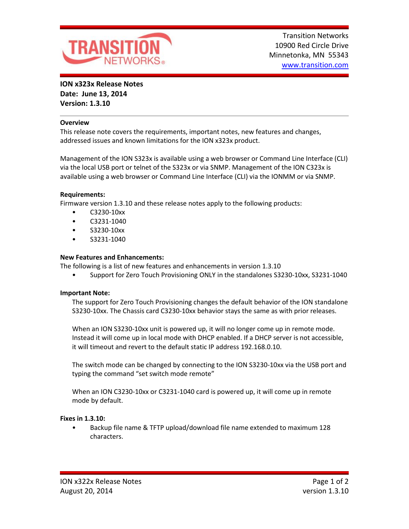

**ION x323x Release Notes Date: June 13, 2014 Version: 1.3.10**

### **Overview**

This release note covers the requirements, important notes, new features and changes, addressed issues and known limitations for the ION x323x product.

Management of the ION S323x is available using a web browser or Command Line Interface (CLI) via the local USB port or telnet of the S323x or via SNMP. Management of the ION C323x is available using a web browser or Command Line Interface (CLI) via the IONMM or via SNMP.

### **Requirements:**

Firmware version 1.3.10 and these release notes apply to the following products:

- C3230-10xx
- C3231-1040
- S3230-10xx
- S3231-1040

# **New Features and Enhancements:**

The following is a list of new features and enhancements in version 1.3.10

• Support for Zero Touch Provisioning ONLY in the standalones S3230-10xx, S3231-1040

### **Important Note:**

The support for Zero Touch Provisioning changes the default behavior of the ION standalone S3230-10xx. The Chassis card C3230-10xx behavior stays the same as with prior releases.

When an ION S3230-10xx unit is powered up, it will no longer come up in remote mode. Instead it will come up in local mode with DHCP enabled. If a DHCP server is not accessible, it will timeout and revert to the default static IP address 192.168.0.10.

The switch mode can be changed by connecting to the ION S3230-10xx via the USB port and typing the command "set switch mode remote"

When an ION C3230-10xx or C3231-1040 card is powered up, it will come up in remote mode by default.

### **Fixes in 1.3.10:**

• Backup file name & TFTP upload/download file name extended to maximum 128 characters.